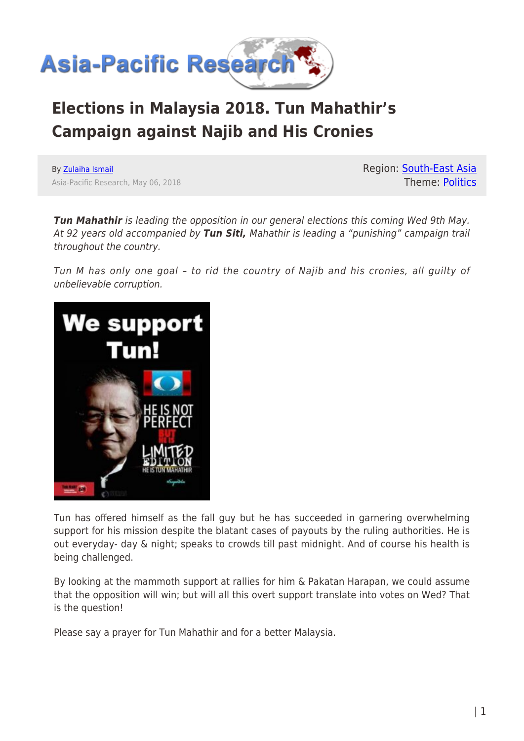

## **Elections in Malaysia 2018. Tun Mahathir's Campaign against Najib and His Cronies**

By [Zulaiha Ismail](https://www.asia-pacificresearch.com/author/zulaiha-ismail) Asia-Pacific Research, May 06, 2018 Region: [South-East Asia](https://www.asia-pacificresearch.com/region/south-east-asia) Theme: [Politics](https://www.asia-pacificresearch.com/theme/politics)

*Tun Mahathir* is leading the opposition in our general elections this coming Wed 9th May. At 92 years old accompanied by *Tun Siti,* Mahathir is leading a "punishing" campaign trail throughout the country.

Tun M has only one goal – to rid the country of Najib and his cronies, all guilty of unbelievable corruption.



Tun has offered himself as the fall guy but he has succeeded in garnering overwhelming support for his mission despite the blatant cases of payouts by the ruling authorities. He is out everyday- day & night; speaks to crowds till past midnight. And of course his health is being challenged.

By looking at the mammoth support at rallies for him & Pakatan Harapan, we could assume that the opposition will win; but will all this overt support translate into votes on Wed? That is the question!

Please say a prayer for Tun Mahathir and for a better Malaysia.